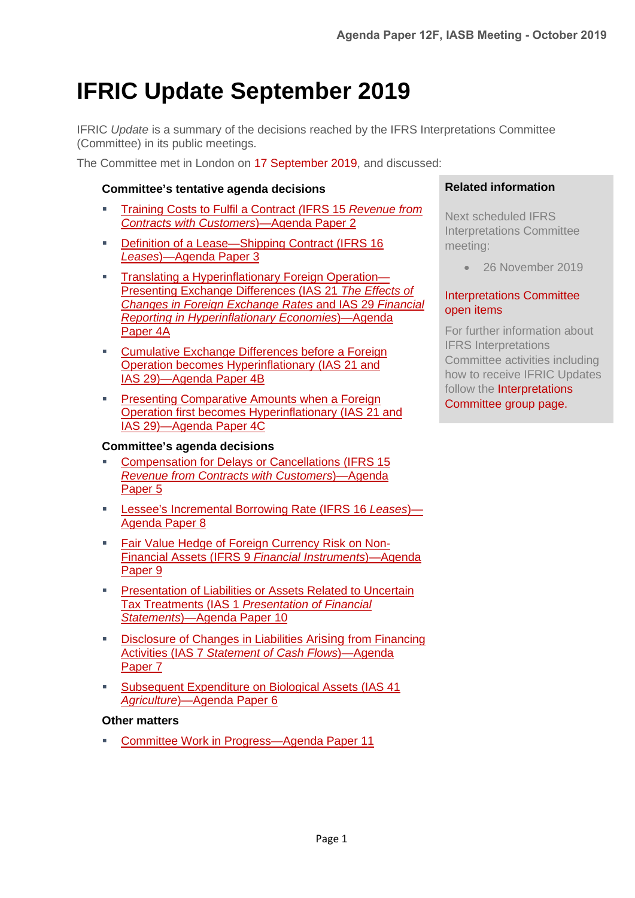# **IFRIC Update September 2019**

IFRIC *Update* is a summary of the decisions reached by the IFRS Interpretations Committee (Committee) in its public meetings.

The Committee met in London on 17 [September](https://www.ifrs.org/news-and-events/calendar/2019/september/ifrs-interpretations-committee/) 2019, and discussed:

#### **[Committee's tentative agenda decisions](#page-1-0)**

- [Training Costs to Fulfil a Contract](#page-1-1) *(*IFRS 15 *Revenue from [Contracts with Customers](#page-1-1)*)*—*Agenda Paper 2
- [Definition of a Lease—Shipping Contract](#page-2-0) (IFRS 16 *Leases*[\)—Agenda Paper 3](#page-2-0)
- **[Translating a Hyperinflationary Foreign Operation—](#page-3-0)** [Presenting Exchange Differences \(IAS 21](#page-3-0) *The Effects of [Changes in Foreign Exchange Rates](#page-3-0)* and IAS 29 *Financial [Reporting in Hyperinflationary Economies](#page-3-0)*)—Agenda [Paper 4A](#page-3-0)
- [Cumulative Exchange Differences before a Foreign](#page-5-0) [Operation becomes Hyperinflationary \(IAS 21 and](#page-5-0) IAS [29\)—Agenda Paper 4B](#page-5-0)
- **[Presenting Comparative Amounts when a Foreign](#page-6-0)** [Operation first becomes Hyperinflationary \(IAS 21 and](#page-6-0) IAS [29\)—Agenda Paper 4C](#page-6-0)

#### **[Committee's agenda decisions](#page-7-0)**

- [Compensation for Delays or Cancellations \(IFRS](#page-7-1) 15 *[Revenue from Contracts with Customers](#page-7-1)*)—Agenda [Paper 5](#page-7-1)
- [Lessee's Incremental Borrowing Rate](#page-8-0) (IFRS 16 *Leases*)— [Agenda Paper 8](#page-8-0)
- [Fair Value Hedge of Foreign Currency Risk on Non-](#page-9-0)Financial Assets (IFRS 9 *[Financial Instruments](#page-9-0)*)—Agenda [Paper 9](#page-9-0)
- [Presentation of Liabilities or Assets Related to Uncertain](#page-11-0) Tax Treatments (IAS 1 *[Presentation of Financial](#page-11-0) Statements*[\)—Agenda Paper 10](#page-11-0)
- [Disclosure of Changes in Liabilities Arising](#page-12-0) from Financing Activities (IAS 7 *[Statement of Cash Flows](#page-12-0)*)—Agenda [Paper 7](#page-12-0)
- [Subsequent Expenditure on Biological Assets](#page-14-0) (IAS 41 *Agriculture*[\)—Agenda Paper 6](#page-14-0)

#### **[Other matters](#page-15-0)**

[Committee Work in Progress—Agenda Paper 11](#page-15-1)

#### **Related information**

Next scheduled IFRS Interpretations Committee meeting:

• 26 November 2019

#### [Interpretations Committee](https://www.ifrs.org/projects/interpretations-committee-open-items/)  [open items](https://www.ifrs.org/projects/interpretations-committee-open-items/)

For further information about IFRS Interpretations Committee activities including how to receive IFRIC Updates follow the [Interpretations](https://www.ifrs.org/groups/ifrs-interpretations-committee/)  [Committee group page.](https://www.ifrs.org/groups/ifrs-interpretations-committee/)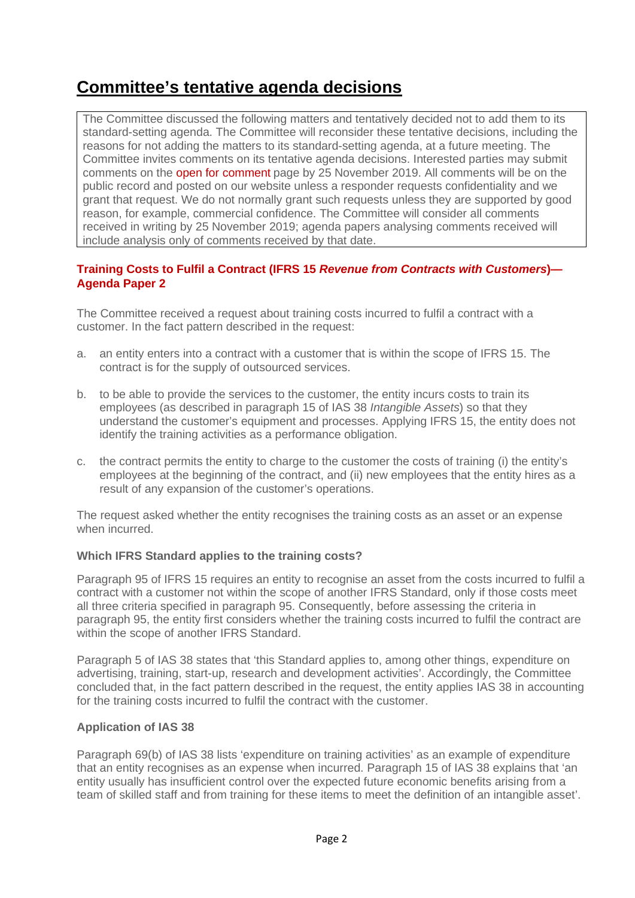### <span id="page-1-0"></span>**Committee's tentative agenda decisions**

The Committee discussed the following matters and tentatively decided not to add them to its standard-setting agenda. The Committee will reconsider these tentative decisions, including the reasons for not adding the matters to its standard-setting agenda, at a future meeting. The Committee invites comments on its tentative agenda decisions. Interested parties may submit comments on the [open for comment](https://www.ifrs.org/projects/interpretations-committee-open-items/) page by 25 November 2019. All comments will be on the public record and posted on our website unless a responder requests confidentiality and we grant that request. We do not normally grant such requests unless they are supported by good reason, for example, commercial confidence. The Committee will consider all comments received in writing by 25 November 2019; agenda papers analysing comments received will include analysis only of comments received by that date.

#### <span id="page-1-1"></span>**Training Costs to Fulfil a Contract (IFRS 15** *Revenue from Contracts with Customers***)— Agenda Paper 2**

The Committee received a request about training costs incurred to fulfil a contract with a customer. In the fact pattern described in the request:

- a. an entity enters into a contract with a customer that is within the scope of IFRS 15. The contract is for the supply of outsourced services.
- b. to be able to provide the services to the customer, the entity incurs costs to train its employees (as described in paragraph 15 of IAS 38 *Intangible Assets*) so that they understand the customer's equipment and processes. Applying IFRS 15, the entity does not identify the training activities as a performance obligation.
- c. the contract permits the entity to charge to the customer the costs of training (i) the entity's employees at the beginning of the contract, and (ii) new employees that the entity hires as a result of any expansion of the customer's operations.

The request asked whether the entity recognises the training costs as an asset or an expense when incurred.

#### **Which IFRS Standard applies to the training costs?**

Paragraph 95 of IFRS 15 requires an entity to recognise an asset from the costs incurred to fulfil a contract with a customer not within the scope of another IFRS Standard, only if those costs meet all three criteria specified in paragraph 95. Consequently, before assessing the criteria in paragraph 95, the entity first considers whether the training costs incurred to fulfil the contract are within the scope of another IFRS Standard.

Paragraph 5 of IAS 38 states that 'this Standard applies to, among other things, expenditure on advertising, training, start-up, research and development activities'. Accordingly, the Committee concluded that, in the fact pattern described in the request, the entity applies IAS 38 in accounting for the training costs incurred to fulfil the contract with the customer.

#### **Application of IAS 38**

Paragraph 69(b) of IAS 38 lists 'expenditure on training activities' as an example of expenditure that an entity recognises as an expense when incurred. Paragraph 15 of IAS 38 explains that 'an entity usually has insufficient control over the expected future economic benefits arising from a team of skilled staff and from training for these items to meet the definition of an intangible asset'.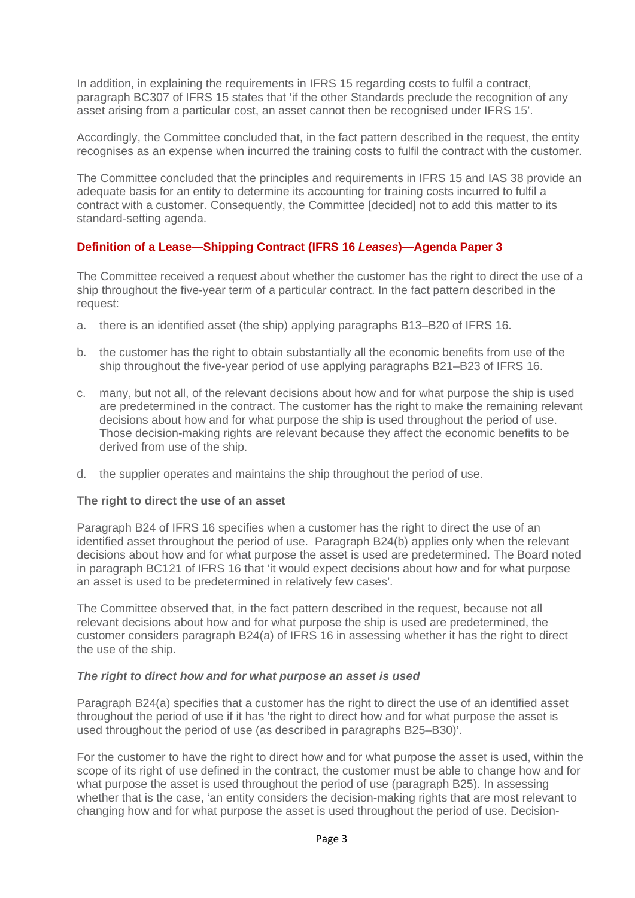In addition, in explaining the requirements in IFRS 15 regarding costs to fulfil a contract, paragraph BC307 of IFRS 15 states that 'if the other Standards preclude the recognition of any asset arising from a particular cost, an asset cannot then be recognised under IFRS 15'.

Accordingly, the Committee concluded that, in the fact pattern described in the request, the entity recognises as an expense when incurred the training costs to fulfil the contract with the customer.

The Committee concluded that the principles and requirements in IFRS 15 and IAS 38 provide an adequate basis for an entity to determine its accounting for training costs incurred to fulfil a contract with a customer. Consequently, the Committee [decided] not to add this matter to its standard-setting agenda.

#### <span id="page-2-0"></span>**[Definition of a Lease—Shipping Contract \(IFRS 16](#page-1-1)** *Leases***)—Agenda Paper 3**

The Committee received a request about whether the customer has the right to direct the use of a ship throughout the five-year term of a particular contract. In the fact pattern described in the request:

- a. there is an identified asset (the ship) applying paragraphs B13–B20 of IFRS 16.
- b. the customer has the right to obtain substantially all the economic benefits from use of the ship throughout the five-year period of use applying paragraphs B21–B23 of IFRS 16.
- c. many, but not all, of the relevant decisions about how and for what purpose the ship is used are predetermined in the contract. The customer has the right to make the remaining relevant decisions about how and for what purpose the ship is used throughout the period of use. Those decision-making rights are relevant because they affect the economic benefits to be derived from use of the ship.
- d. the supplier operates and maintains the ship throughout the period of use.

#### **The right to direct the use of an asset**

Paragraph B24 of IFRS 16 specifies when a customer has the right to direct the use of an identified asset throughout the period of use. Paragraph B24(b) applies only when the relevant decisions about how and for what purpose the asset is used are predetermined. The Board noted in paragraph BC121 of IFRS 16 that 'it would expect decisions about how and for what purpose an asset is used to be predetermined in relatively few cases'.

The Committee observed that, in the fact pattern described in the request, because not all relevant decisions about how and for what purpose the ship is used are predetermined, the customer considers paragraph B24(a) of IFRS 16 in assessing whether it has the right to direct the use of the ship.

#### *The right to direct how and for what purpose an asset is used*

Paragraph B24(a) specifies that a customer has the right to direct the use of an identified asset throughout the period of use if it has 'the right to direct how and for what purpose the asset is used throughout the period of use (as described in paragraphs B25–B30)'.

For the customer to have the right to direct how and for what purpose the asset is used, within the scope of its right of use defined in the contract, the customer must be able to change how and for what purpose the asset is used throughout the period of use (paragraph B25). In assessing whether that is the case, 'an entity considers the decision-making rights that are most relevant to changing how and for what purpose the asset is used throughout the period of use. Decision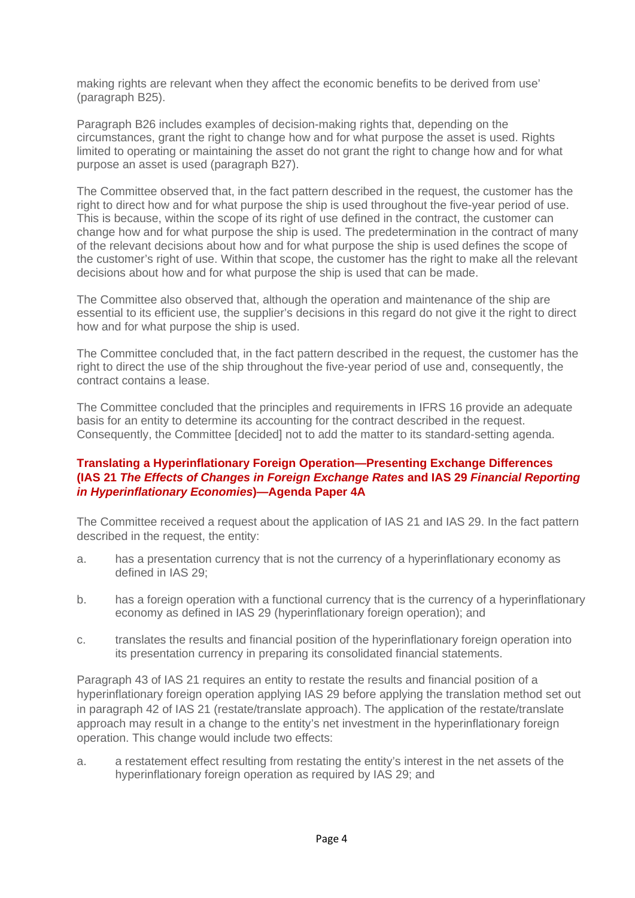making rights are relevant when they affect the economic benefits to be derived from use' (paragraph B25).

Paragraph B26 includes examples of decision-making rights that, depending on the circumstances, grant the right to change how and for what purpose the asset is used. Rights limited to operating or maintaining the asset do not grant the right to change how and for what purpose an asset is used (paragraph B27).

The Committee observed that, in the fact pattern described in the request, the customer has the right to direct how and for what purpose the ship is used throughout the five-year period of use. This is because, within the scope of its right of use defined in the contract, the customer can change how and for what purpose the ship is used. The predetermination in the contract of many of the relevant decisions about how and for what purpose the ship is used defines the scope of the customer's right of use. Within that scope, the customer has the right to make all the relevant decisions about how and for what purpose the ship is used that can be made.

The Committee also observed that, although the operation and maintenance of the ship are essential to its efficient use, the supplier's decisions in this regard do not give it the right to direct how and for what purpose the ship is used.

The Committee concluded that, in the fact pattern described in the request, the customer has the right to direct the use of the ship throughout the five-year period of use and, consequently, the contract contains a lease.

The Committee concluded that the principles and requirements in IFRS 16 provide an adequate basis for an entity to determine its accounting for the contract described in the request. Consequently, the Committee [decided] not to add the matter to its standard-setting agenda.

#### <span id="page-3-0"></span>**Translating a Hyperinflationary Foreign Operation—Presenting Exchange Differences (IAS 21** *The Effects of Changes in Foreign Exchange Rates* **and IAS 29** *Financial Reporting in Hyperinflationary Economies***)—Agenda Paper 4A**

The Committee received a request about the application of IAS 21 and IAS 29. In the fact pattern described in the request, the entity:

- a. has a presentation currency that is not the currency of a hyperinflationary economy as defined in IAS 29;
- b. has a foreign operation with a functional currency that is the currency of a hyperinflationary economy as defined in IAS 29 (hyperinflationary foreign operation); and
- c. translates the results and financial position of the hyperinflationary foreign operation into its presentation currency in preparing its consolidated financial statements.

Paragraph 43 of IAS 21 requires an entity to restate the results and financial position of a hyperinflationary foreign operation applying IAS 29 before applying the translation method set out in paragraph 42 of IAS 21 (restate/translate approach). The application of the restate/translate approach may result in a change to the entity's net investment in the hyperinflationary foreign operation. This change would include two effects:

a. a restatement effect resulting from restating the entity's interest in the net assets of the hyperinflationary foreign operation as required by IAS 29; and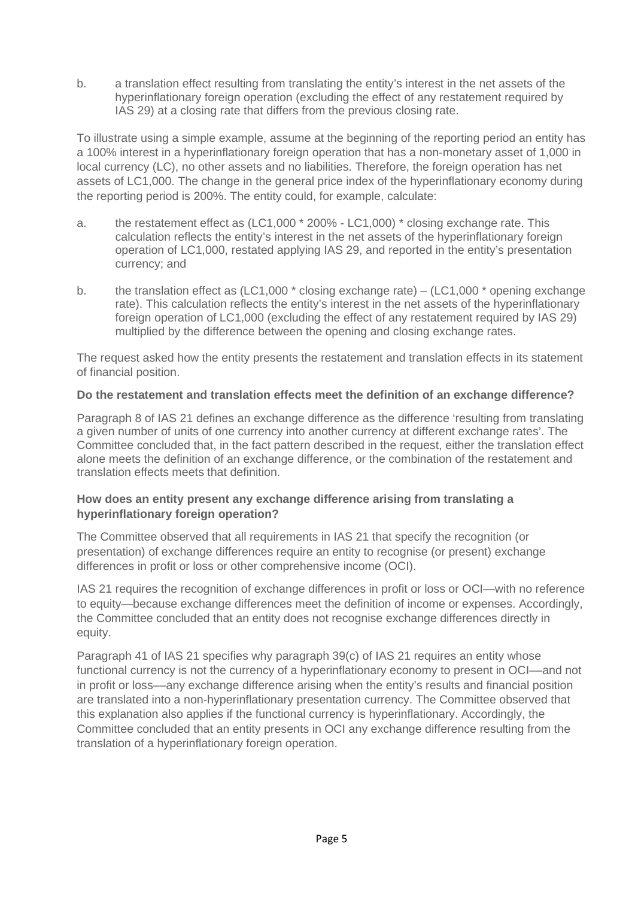b. a translation effect resulting from translating the entity's interest in the net assets of the hyperinflationary foreign operation (excluding the effect of any restatement required by IAS 29) at a closing rate that differs from the previous closing rate.

To illustrate using a simple example, assume at the beginning of the reporting period an entity has a 100% interest in a hyperinflationary foreign operation that has a non-monetary asset of 1,000 in local currency (LC), no other assets and no liabilities. Therefore, the foreign operation has net assets of LC1,000. The change in the general price index of the hyperinflationary economy during the reporting period is 200%. The entity could, for example, calculate:

- a. the restatement effect as (LC1,000 \* 200% LC1,000) \* closing exchange rate. This calculation reflects the entity's interest in the net assets of the hyperinflationary foreign operation of LC1,000, restated applying IAS 29, and reported in the entity's presentation currency; and
- b. the translation effect as  $(LC1,000 \cdot \text{closing exchange rate}) (LC1,000 \cdot \text{ opening exchange})$ rate). This calculation reflects the entity's interest in the net assets of the hyperinflationary foreign operation of LC1,000 (excluding the effect of any restatement required by IAS 29) multiplied by the difference between the opening and closing exchange rates.

The request asked how the entity presents the restatement and translation effects in its statement of financial position.

#### **Do the restatement and translation effects meet the definition of an exchange difference?**

Paragraph 8 of IAS 21 defines an exchange difference as the difference 'resulting from translating a given number of units of one currency into another currency at different exchange rates'. The Committee concluded that, in the fact pattern described in the request, either the translation effect alone meets the definition of an exchange difference, or the combination of the restatement and translation effects meets that definition.

#### **How does an entity present any exchange difference arising from translating a hyperinflationary foreign operation?**

The Committee observed that all requirements in IAS 21 that specify the recognition (or presentation) of exchange differences require an entity to recognise (or present) exchange differences in profit or loss or other comprehensive income (OCI).

IAS 21 requires the recognition of exchange differences in profit or loss or OCI—with no reference to equity—because exchange differences meet the definition of income or expenses. Accordingly, the Committee concluded that an entity does not recognise exchange differences directly in equity.

Paragraph 41 of IAS 21 specifies why paragraph 39(c) of IAS 21 requires an entity whose functional currency is not the currency of a hyperinflationary economy to present in OCI––and not in profit or loss––any exchange difference arising when the entity's results and financial position are translated into a non-hyperinflationary presentation currency. The Committee observed that this explanation also applies if the functional currency is hyperinflationary. Accordingly, the Committee concluded that an entity presents in OCI any exchange difference resulting from the translation of a hyperinflationary foreign operation.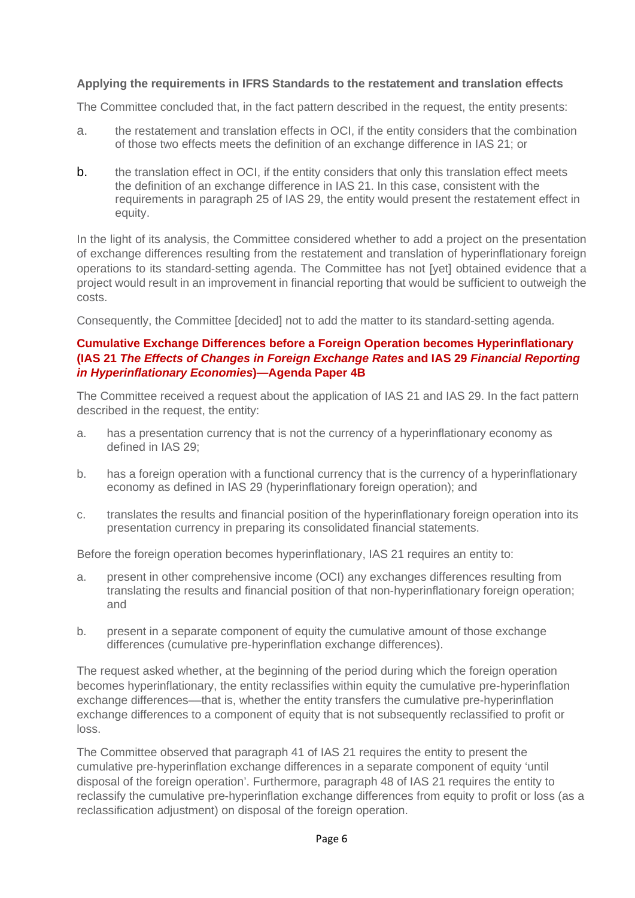#### **Applying the requirements in IFRS Standards to the restatement and translation effects**

The Committee concluded that, in the fact pattern described in the request, the entity presents:

- a. the restatement and translation effects in OCI, if the entity considers that the combination of those two effects meets the definition of an exchange difference in IAS 21; or
- b. the translation effect in OCI, if the entity considers that only this translation effect meets the definition of an exchange difference in IAS 21. In this case, consistent with the requirements in paragraph 25 of IAS 29, the entity would present the restatement effect in equity.

In the light of its analysis, the Committee considered whether to add a project on the presentation of exchange differences resulting from the restatement and translation of hyperinflationary foreign operations to its standard-setting agenda. The Committee has not [yet] obtained evidence that a project would result in an improvement in financial reporting that would be sufficient to outweigh the costs.

Consequently, the Committee [decided] not to add the matter to its standard-setting agenda.

#### <span id="page-5-0"></span>**Cumulative Exchange Differences before a Foreign Operation becomes Hyperinflationary (IAS 21** *The Effects of Changes in Foreign Exchange Rates* **and IAS 29** *Financial Reporting in Hyperinflationary Economies***)—Agenda Paper 4B**

The Committee received a request about the application of IAS 21 and IAS 29. In the fact pattern described in the request, the entity:

- a. has a presentation currency that is not the currency of a hyperinflationary economy as defined in IAS 29;
- b. has a foreign operation with a functional currency that is the currency of a hyperinflationary economy as defined in IAS 29 (hyperinflationary foreign operation); and
- c. translates the results and financial position of the hyperinflationary foreign operation into its presentation currency in preparing its consolidated financial statements.

Before the foreign operation becomes hyperinflationary, IAS 21 requires an entity to:

- a. present in other comprehensive income (OCI) any exchanges differences resulting from translating the results and financial position of that non-hyperinflationary foreign operation; and
- b. present in a separate component of equity the cumulative amount of those exchange differences (cumulative pre-hyperinflation exchange differences).

The request asked whether, at the beginning of the period during which the foreign operation becomes hyperinflationary, the entity reclassifies within equity the cumulative pre-hyperinflation exchange differences––that is, whether the entity transfers the cumulative pre-hyperinflation exchange differences to a component of equity that is not subsequently reclassified to profit or loss.

The Committee observed that paragraph 41 of IAS 21 requires the entity to present the cumulative pre-hyperinflation exchange differences in a separate component of equity 'until disposal of the foreign operation'. Furthermore, paragraph 48 of IAS 21 requires the entity to reclassify the cumulative pre-hyperinflation exchange differences from equity to profit or loss (as a reclassification adjustment) on disposal of the foreign operation.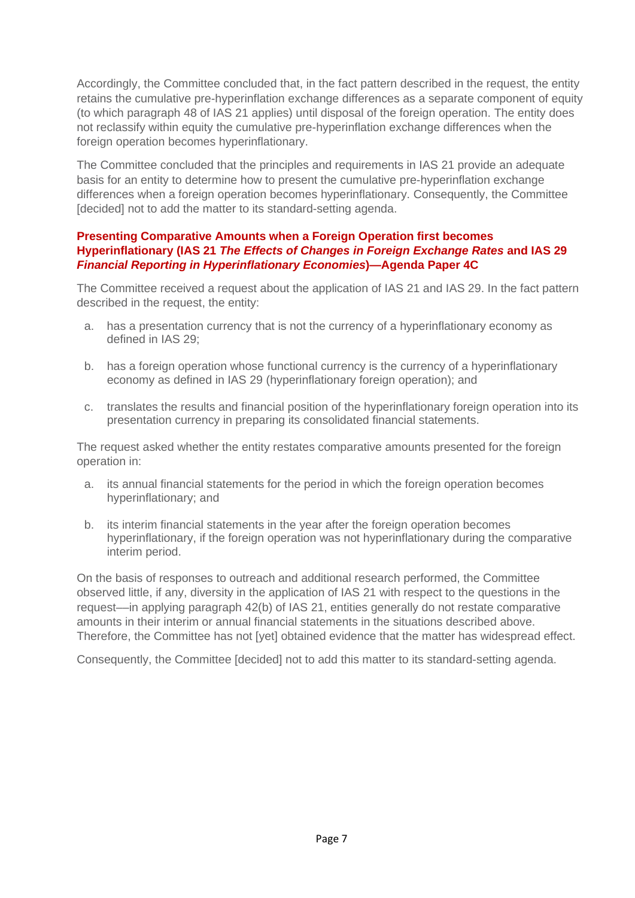Accordingly, the Committee concluded that, in the fact pattern described in the request, the entity retains the cumulative pre-hyperinflation exchange differences as a separate component of equity (to which paragraph 48 of IAS 21 applies) until disposal of the foreign operation. The entity does not reclassify within equity the cumulative pre-hyperinflation exchange differences when the foreign operation becomes hyperinflationary.

The Committee concluded that the principles and requirements in IAS 21 provide an adequate basis for an entity to determine how to present the cumulative pre-hyperinflation exchange differences when a foreign operation becomes hyperinflationary. Consequently, the Committee [decided] not to add the matter to its standard-setting agenda.

#### <span id="page-6-0"></span>**Presenting Comparative Amounts when a Foreign Operation first becomes Hyperinflationary (IAS 21** *The Effects of Changes in Foreign Exchange Rates* **and IAS 29**  *Financial Reporting in Hyperinflationary Economies***)—Agenda Paper 4C**

The Committee received a request about the application of IAS 21 and IAS 29. In the fact pattern described in the request, the entity:

- a. has a presentation currency that is not the currency of a hyperinflationary economy as defined in IAS 29;
- b. has a foreign operation whose functional currency is the currency of a hyperinflationary economy as defined in IAS 29 (hyperinflationary foreign operation); and
- c. translates the results and financial position of the hyperinflationary foreign operation into its presentation currency in preparing its consolidated financial statements.

The request asked whether the entity restates comparative amounts presented for the foreign operation in:

- a. its annual financial statements for the period in which the foreign operation becomes hyperinflationary; and
- b. its interim financial statements in the year after the foreign operation becomes hyperinflationary, if the foreign operation was not hyperinflationary during the comparative interim period.

On the basis of responses to outreach and additional research performed, the Committee observed little, if any, diversity in the application of IAS 21 with respect to the questions in the request––in applying paragraph 42(b) of IAS 21, entities generally do not restate comparative amounts in their interim or annual financial statements in the situations described above. Therefore, the Committee has not [yet] obtained evidence that the matter has widespread effect.

Consequently, the Committee [decided] not to add this matter to its standard-setting agenda.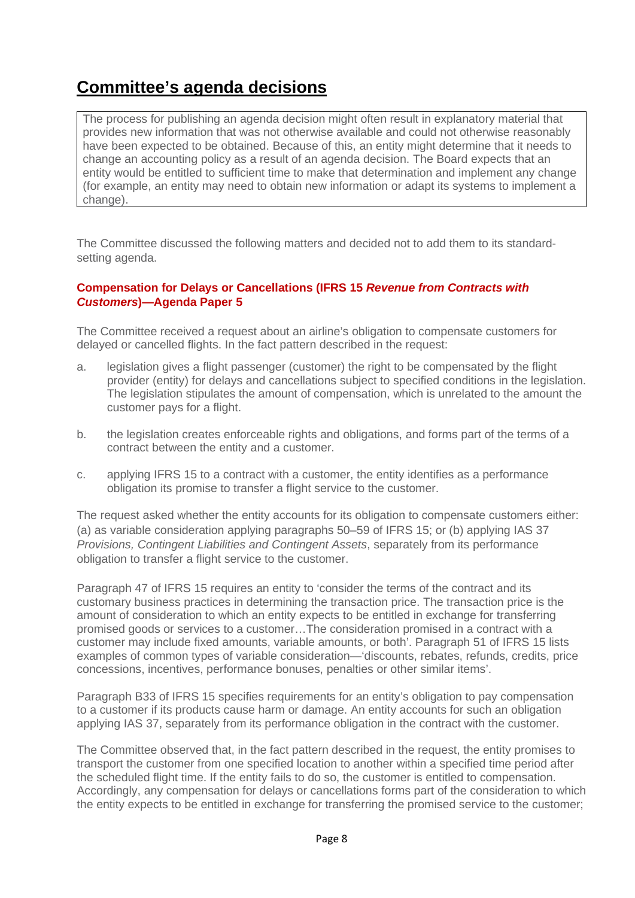## <span id="page-7-0"></span>**Committee's agenda decisions**

The process for publishing an agenda decision might often result in explanatory material that provides new information that was not otherwise available and could not otherwise reasonably have been expected to be obtained. Because of this, an entity might determine that it needs to change an accounting policy as a result of an agenda decision. The Board expects that an entity would be entitled to sufficient time to make that determination and implement any change (for example, an entity may need to obtain new information or adapt its systems to implement a change).

The Committee discussed the following matters and decided not to add them to its standardsetting agenda.

#### <span id="page-7-1"></span>**Compensation for Delays or Cancellations (IFRS 15** *Revenue from Contracts with Customers***)—Agenda Paper 5**

The Committee received a request about an airline's obligation to compensate customers for delayed or cancelled flights. In the fact pattern described in the request:

- a. legislation gives a flight passenger (customer) the right to be compensated by the flight provider (entity) for delays and cancellations subject to specified conditions in the legislation. The legislation stipulates the amount of compensation, which is unrelated to the amount the customer pays for a flight.
- b. the legislation creates enforceable rights and obligations, and forms part of the terms of a contract between the entity and a customer.
- c. applying IFRS 15 to a contract with a customer, the entity identifies as a performance obligation its promise to transfer a flight service to the customer.

The request asked whether the entity accounts for its obligation to compensate customers either: (a) as variable consideration applying paragraphs 50–59 of IFRS 15; or (b) applying IAS 37 *Provisions, Contingent Liabilities and Contingent Assets*, separately from its performance obligation to transfer a flight service to the customer.

Paragraph 47 of IFRS 15 requires an entity to 'consider the terms of the contract and its customary business practices in determining the transaction price. The transaction price is the amount of consideration to which an entity expects to be entitled in exchange for transferring promised goods or services to a customer…The consideration promised in a contract with a customer may include fixed amounts, variable amounts, or both'. Paragraph 51 of IFRS 15 lists examples of common types of variable consideration—'discounts, rebates, refunds, credits, price concessions, incentives, performance bonuses, penalties or other similar items'.

Paragraph B33 of IFRS 15 specifies requirements for an entity's obligation to pay compensation to a customer if its products cause harm or damage. An entity accounts for such an obligation applying IAS 37, separately from its performance obligation in the contract with the customer.

The Committee observed that, in the fact pattern described in the request, the entity promises to transport the customer from one specified location to another within a specified time period after the scheduled flight time. If the entity fails to do so, the customer is entitled to compensation. Accordingly, any compensation for delays or cancellations forms part of the consideration to which the entity expects to be entitled in exchange for transferring the promised service to the customer;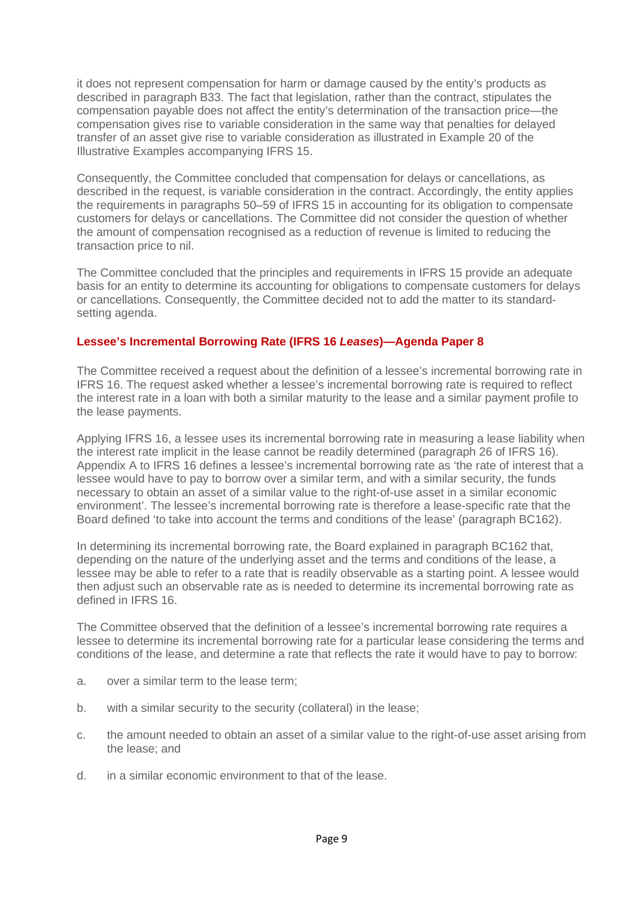it does not represent compensation for harm or damage caused by the entity's products as described in paragraph B33. The fact that legislation, rather than the contract, stipulates the compensation payable does not affect the entity's determination of the transaction price—the compensation gives rise to variable consideration in the same way that penalties for delayed transfer of an asset give rise to variable consideration as illustrated in Example 20 of the Illustrative Examples accompanying IFRS 15.

Consequently, the Committee concluded that compensation for delays or cancellations, as described in the request, is variable consideration in the contract. Accordingly, the entity applies the requirements in paragraphs 50–59 of IFRS 15 in accounting for its obligation to compensate customers for delays or cancellations. The Committee did not consider the question of whether the amount of compensation recognised as a reduction of revenue is limited to reducing the transaction price to nil.

The Committee concluded that the principles and requirements in IFRS 15 provide an adequate basis for an entity to determine its accounting for obligations to compensate customers for delays or cancellations. Consequently, the Committee decided not to add the matter to its standardsetting agenda.

#### <span id="page-8-0"></span>**[Lessee's Incremental Borrowing Rate \(IFRS 16](#page-11-0)** *Leases***)—Agenda Paper 8**

The Committee received a request about the definition of a lessee's incremental borrowing rate in IFRS 16. The request asked whether a lessee's incremental borrowing rate is required to reflect the interest rate in a loan with both a similar maturity to the lease and a similar payment profile to the lease payments.

Applying IFRS 16, a lessee uses its incremental borrowing rate in measuring a lease liability when the interest rate implicit in the lease cannot be readily determined (paragraph 26 of IFRS 16). Appendix A to IFRS 16 defines a lessee's incremental borrowing rate as 'the rate of interest that a lessee would have to pay to borrow over a similar term, and with a similar security, the funds necessary to obtain an asset of a similar value to the right-of-use asset in a similar economic environment'. The lessee's incremental borrowing rate is therefore a lease-specific rate that the Board defined 'to take into account the terms and conditions of the lease' (paragraph BC162).

In determining its incremental borrowing rate, the Board explained in paragraph BC162 that, depending on the nature of the underlying asset and the terms and conditions of the lease, a lessee may be able to refer to a rate that is readily observable as a starting point. A lessee would then adjust such an observable rate as is needed to determine its incremental borrowing rate as defined in IFRS 16.

The Committee observed that the definition of a lessee's incremental borrowing rate requires a lessee to determine its incremental borrowing rate for a particular lease considering the terms and conditions of the lease, and determine a rate that reflects the rate it would have to pay to borrow:

- a. over a similar term to the lease term;
- b. with a similar security to the security (collateral) in the lease;
- c. the amount needed to obtain an asset of a similar value to the right-of-use asset arising from the lease; and
- d. in a similar economic environment to that of the lease.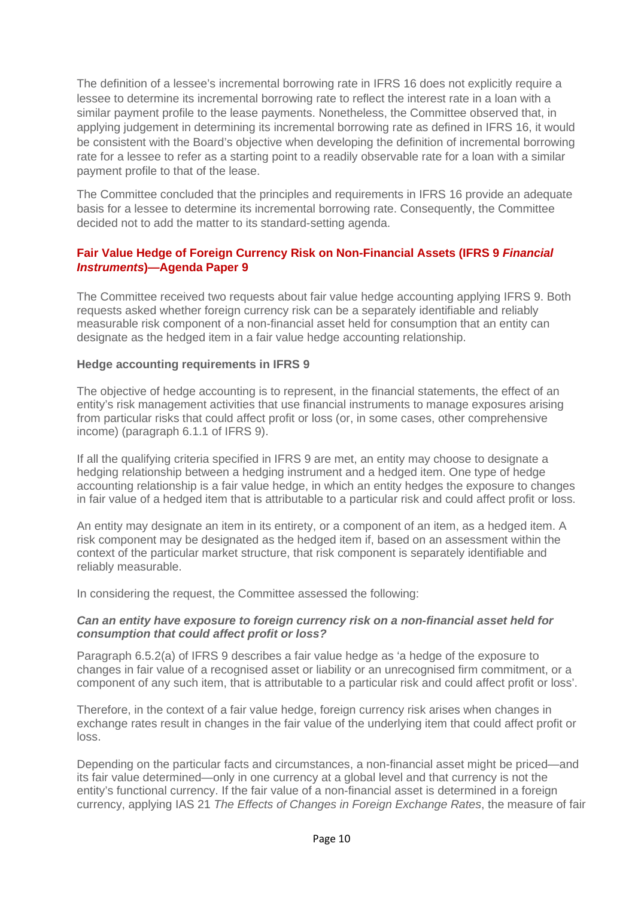The definition of a lessee's incremental borrowing rate in IFRS 16 does not explicitly require a lessee to determine its incremental borrowing rate to reflect the interest rate in a loan with a similar payment profile to the lease payments. Nonetheless, the Committee observed that, in applying judgement in determining its incremental borrowing rate as defined in IFRS 16, it would be consistent with the Board's objective when developing the definition of incremental borrowing rate for a lessee to refer as a starting point to a readily observable rate for a loan with a similar payment profile to that of the lease.

The Committee concluded that the principles and requirements in IFRS 16 provide an adequate basis for a lessee to determine its incremental borrowing rate. Consequently, the Committee decided not to add the matter to its standard-setting agenda.

#### <span id="page-9-0"></span>**Fair Value Hedge of Foreign Currency Risk on Non-Financial Assets (IFRS 9** *Financial Instruments***)—Agenda Paper 9**

The Committee received two requests about fair value hedge accounting applying IFRS 9. Both requests asked whether foreign currency risk can be a separately identifiable and reliably measurable risk component of a non-financial asset held for consumption that an entity can designate as the hedged item in a fair value hedge accounting relationship.

#### **Hedge accounting requirements in IFRS 9**

The objective of hedge accounting is to represent, in the financial statements, the effect of an entity's risk management activities that use financial instruments to manage exposures arising from particular risks that could affect profit or loss (or, in some cases, other comprehensive income) (paragraph 6.1.1 of IFRS 9).

If all the qualifying criteria specified in IFRS 9 are met, an entity may choose to designate a hedging relationship between a hedging instrument and a hedged item. One type of hedge accounting relationship is a fair value hedge, in which an entity hedges the exposure to changes in fair value of a hedged item that is attributable to a particular risk and could affect profit or loss.

An entity may designate an item in its entirety, or a component of an item, as a hedged item. A risk component may be designated as the hedged item if, based on an assessment within the context of the particular market structure, that risk component is separately identifiable and reliably measurable.

In considering the request, the Committee assessed the following:

#### *Can an entity have exposure to foreign currency risk on a non-financial asset held for consumption that could affect profit or loss?*

Paragraph 6.5.2(a) of IFRS 9 describes a fair value hedge as 'a hedge of the exposure to changes in fair value of a recognised asset or liability or an unrecognised firm commitment, or a component of any such item, that is attributable to a particular risk and could affect profit or loss'.

Therefore, in the context of a fair value hedge, foreign currency risk arises when changes in exchange rates result in changes in the fair value of the underlying item that could affect profit or loss.

Depending on the particular facts and circumstances, a non-financial asset might be priced—and its fair value determined—only in one currency at a global level and that currency is not the entity's functional currency. If the fair value of a non-financial asset is determined in a foreign currency, applying IAS 21 *The Effects of Changes in Foreign Exchange Rates*, the measure of fair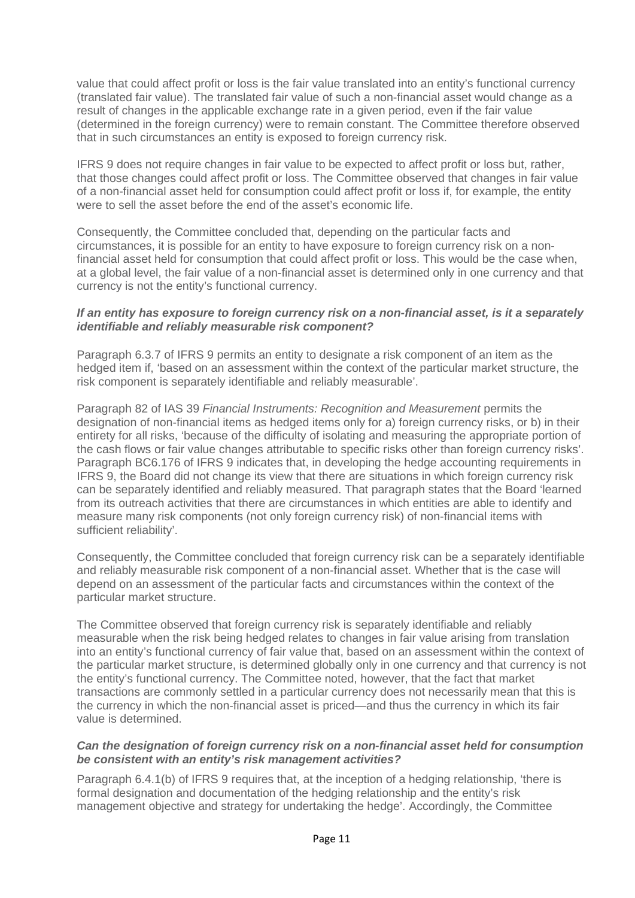value that could affect profit or loss is the fair value translated into an entity's functional currency (translated fair value). The translated fair value of such a non-financial asset would change as a result of changes in the applicable exchange rate in a given period, even if the fair value (determined in the foreign currency) were to remain constant. The Committee therefore observed that in such circumstances an entity is exposed to foreign currency risk.

IFRS 9 does not require changes in fair value to be expected to affect profit or loss but, rather, that those changes could affect profit or loss. The Committee observed that changes in fair value of a non-financial asset held for consumption could affect profit or loss if, for example, the entity were to sell the asset before the end of the asset's economic life.

Consequently, the Committee concluded that, depending on the particular facts and circumstances, it is possible for an entity to have exposure to foreign currency risk on a nonfinancial asset held for consumption that could affect profit or loss. This would be the case when, at a global level, the fair value of a non-financial asset is determined only in one currency and that currency is not the entity's functional currency.

#### *If an entity has exposure to foreign currency risk on a non-financial asset, is it a separately identifiable and reliably measurable risk component?*

Paragraph 6.3.7 of IFRS 9 permits an entity to designate a risk component of an item as the hedged item if, 'based on an assessment within the context of the particular market structure, the risk component is separately identifiable and reliably measurable'.

Paragraph 82 of IAS 39 *Financial Instruments: Recognition and Measurement* permits the designation of non-financial items as hedged items only for a) foreign currency risks, or b) in their entirety for all risks, 'because of the difficulty of isolating and measuring the appropriate portion of the cash flows or fair value changes attributable to specific risks other than foreign currency risks'. Paragraph BC6.176 of IFRS 9 indicates that, in developing the hedge accounting requirements in IFRS 9, the Board did not change its view that there are situations in which foreign currency risk can be separately identified and reliably measured. That paragraph states that the Board 'learned from its outreach activities that there are circumstances in which entities are able to identify and measure many risk components (not only foreign currency risk) of non-financial items with sufficient reliability'.

Consequently, the Committee concluded that foreign currency risk can be a separately identifiable and reliably measurable risk component of a non-financial asset. Whether that is the case will depend on an assessment of the particular facts and circumstances within the context of the particular market structure.

The Committee observed that foreign currency risk is separately identifiable and reliably measurable when the risk being hedged relates to changes in fair value arising from translation into an entity's functional currency of fair value that, based on an assessment within the context of the particular market structure, is determined globally only in one currency and that currency is not the entity's functional currency. The Committee noted, however, that the fact that market transactions are commonly settled in a particular currency does not necessarily mean that this is the currency in which the non-financial asset is priced—and thus the currency in which its fair value is determined.

#### *Can the designation of foreign currency risk on a non-financial asset held for consumption be consistent with an entity's risk management activities?*

Paragraph 6.4.1(b) of IFRS 9 requires that, at the inception of a hedging relationship, 'there is formal designation and documentation of the hedging relationship and the entity's risk management objective and strategy for undertaking the hedge'. Accordingly, the Committee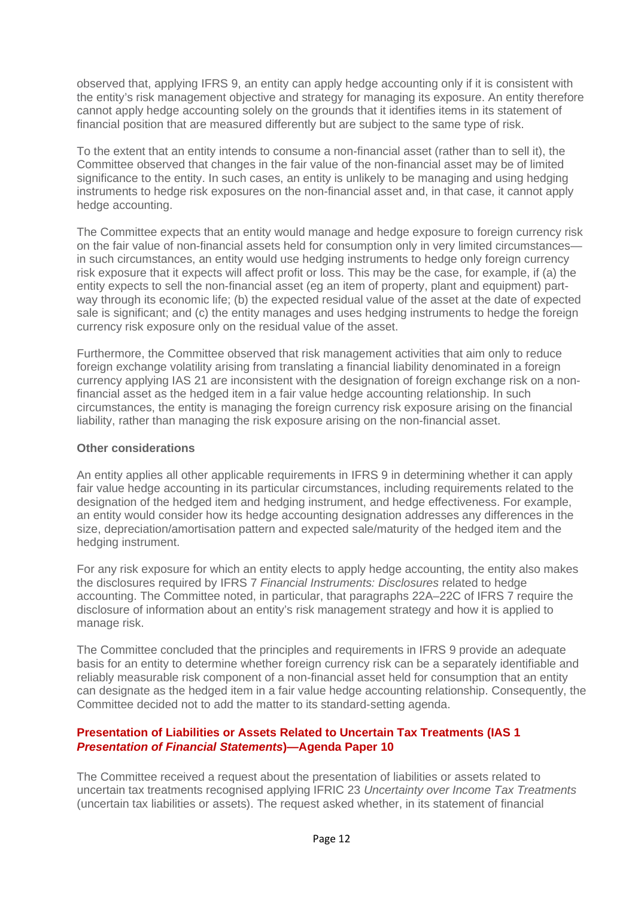observed that, applying IFRS 9, an entity can apply hedge accounting only if it is consistent with the entity's risk management objective and strategy for managing its exposure. An entity therefore cannot apply hedge accounting solely on the grounds that it identifies items in its statement of financial position that are measured differently but are subject to the same type of risk.

To the extent that an entity intends to consume a non-financial asset (rather than to sell it), the Committee observed that changes in the fair value of the non-financial asset may be of limited significance to the entity. In such cases, an entity is unlikely to be managing and using hedging instruments to hedge risk exposures on the non-financial asset and, in that case, it cannot apply hedge accounting.

The Committee expects that an entity would manage and hedge exposure to foreign currency risk on the fair value of non-financial assets held for consumption only in very limited circumstances in such circumstances, an entity would use hedging instruments to hedge only foreign currency risk exposure that it expects will affect profit or loss. This may be the case, for example, if (a) the entity expects to sell the non-financial asset (eg an item of property, plant and equipment) partway through its economic life; (b) the expected residual value of the asset at the date of expected sale is significant; and (c) the entity manages and uses hedging instruments to hedge the foreign currency risk exposure only on the residual value of the asset.

Furthermore, the Committee observed that risk management activities that aim only to reduce foreign exchange volatility arising from translating a financial liability denominated in a foreign currency applying IAS 21 are inconsistent with the designation of foreign exchange risk on a nonfinancial asset as the hedged item in a fair value hedge accounting relationship. In such circumstances, the entity is managing the foreign currency risk exposure arising on the financial liability, rather than managing the risk exposure arising on the non-financial asset.

#### **Other considerations**

An entity applies all other applicable requirements in IFRS 9 in determining whether it can apply fair value hedge accounting in its particular circumstances, including requirements related to the designation of the hedged item and hedging instrument, and hedge effectiveness. For example, an entity would consider how its hedge accounting designation addresses any differences in the size, depreciation/amortisation pattern and expected sale/maturity of the hedged item and the hedging instrument.

For any risk exposure for which an entity elects to apply hedge accounting, the entity also makes the disclosures required by IFRS 7 *Financial Instruments: Disclosures* related to hedge accounting. The Committee noted, in particular, that paragraphs 22A–22C of IFRS 7 require the disclosure of information about an entity's risk management strategy and how it is applied to manage risk.

The Committee concluded that the principles and requirements in IFRS 9 provide an adequate basis for an entity to determine whether foreign currency risk can be a separately identifiable and reliably measurable risk component of a non-financial asset held for consumption that an entity can designate as the hedged item in a fair value hedge accounting relationship. Consequently, the Committee decided not to add the matter to its standard-setting agenda.

#### <span id="page-11-0"></span>**[Presentation of Liabilities or Assets Related to Uncertain Tax Treatments \(IAS 1](#page-8-0)**  *[Presentation of Financial Statements](#page-8-0)***)—Agenda Paper 10**

The Committee received a request about the presentation of liabilities or assets related to uncertain tax treatments recognised applying IFRIC 23 *Uncertainty over Income Tax Treatments* (uncertain tax liabilities or assets). The request asked whether, in its statement of financial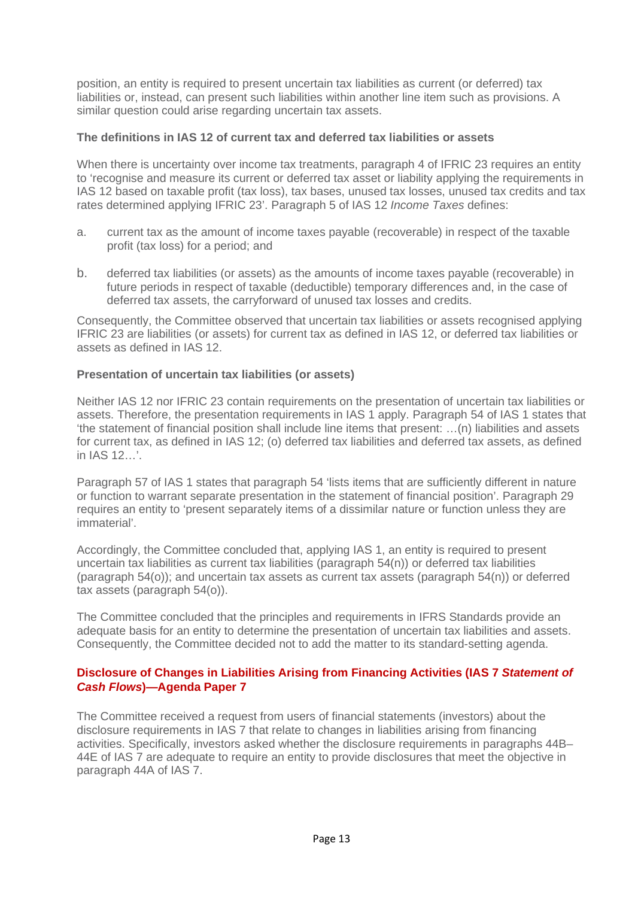position, an entity is required to present uncertain tax liabilities as current (or deferred) tax liabilities or, instead, can present such liabilities within another line item such as provisions. A similar question could arise regarding uncertain tax assets.

#### **The definitions in IAS 12 of current tax and deferred tax liabilities or assets**

When there is uncertainty over income tax treatments, paragraph 4 of IFRIC 23 requires an entity to 'recognise and measure its current or deferred tax asset or liability applying the requirements in IAS 12 based on taxable profit (tax loss), tax bases, unused tax losses, unused tax credits and tax rates determined applying IFRIC 23'. Paragraph 5 of IAS 12 *Income Taxes* defines:

- a. current tax as the amount of income taxes payable (recoverable) in respect of the taxable profit (tax loss) for a period; and
- b. deferred tax liabilities (or assets) as the amounts of income taxes payable (recoverable) in future periods in respect of taxable (deductible) temporary differences and, in the case of deferred tax assets, the carryforward of unused tax losses and credits.

Consequently, the Committee observed that uncertain tax liabilities or assets recognised applying IFRIC 23 are liabilities (or assets) for current tax as defined in IAS 12, or deferred tax liabilities or assets as defined in IAS 12.

#### **Presentation of uncertain tax liabilities (or assets)**

Neither IAS 12 nor IFRIC 23 contain requirements on the presentation of uncertain tax liabilities or assets. Therefore, the presentation requirements in IAS 1 apply. Paragraph 54 of IAS 1 states that 'the statement of financial position shall include line items that present: …(n) liabilities and assets for current tax, as defined in IAS 12; (o) deferred tax liabilities and deferred tax assets, as defined in IAS 12…'.

Paragraph 57 of IAS 1 states that paragraph 54 'lists items that are sufficiently different in nature or function to warrant separate presentation in the statement of financial position'. Paragraph 29 requires an entity to 'present separately items of a dissimilar nature or function unless they are immaterial'.

Accordingly, the Committee concluded that, applying IAS 1, an entity is required to present uncertain tax liabilities as current tax liabilities (paragraph 54(n)) or deferred tax liabilities (paragraph 54(o)); and uncertain tax assets as current tax assets (paragraph 54(n)) or deferred tax assets (paragraph 54(o)).

The Committee concluded that the principles and requirements in IFRS Standards provide an adequate basis for an entity to determine the presentation of uncertain tax liabilities and assets. Consequently, the Committee decided not to add the matter to its standard-setting agenda.

#### <span id="page-12-0"></span>**Disclosure of Changes in Liabilities Arising from Financing Activities (IAS 7** *Statement of Cash Flows***)—Agenda Paper 7**

The Committee received a request from users of financial statements (investors) about the disclosure requirements in IAS 7 that relate to changes in liabilities arising from financing activities. Specifically, investors asked whether the disclosure requirements in paragraphs 44B– 44E of IAS 7 are adequate to require an entity to provide disclosures that meet the objective in paragraph 44A of IAS 7.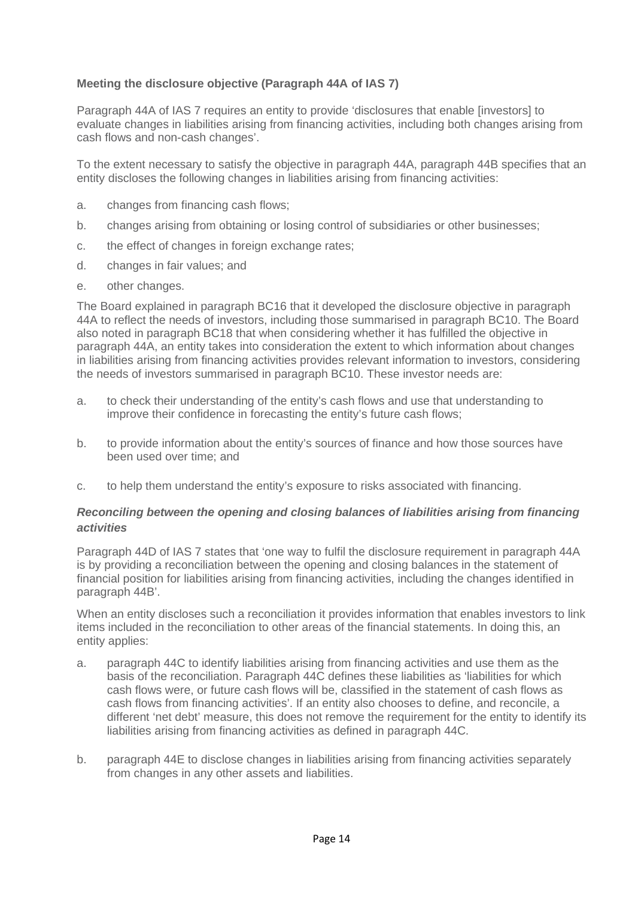#### **Meeting the disclosure objective (Paragraph 44A of IAS 7)**

Paragraph 44A of IAS 7 requires an entity to provide 'disclosures that enable [investors] to evaluate changes in liabilities arising from financing activities, including both changes arising from cash flows and non-cash changes'.

To the extent necessary to satisfy the objective in paragraph 44A, paragraph 44B specifies that an entity discloses the following changes in liabilities arising from financing activities:

- a. changes from financing cash flows;
- b. changes arising from obtaining or losing control of subsidiaries or other businesses;
- c. the effect of changes in foreign exchange rates;
- d. changes in fair values; and
- e. other changes.

The Board explained in paragraph BC16 that it developed the disclosure objective in paragraph 44A to reflect the needs of investors, including those summarised in paragraph BC10. The Board also noted in paragraph BC18 that when considering whether it has fulfilled the objective in paragraph 44A, an entity takes into consideration the extent to which information about changes in liabilities arising from financing activities provides relevant information to investors, considering the needs of investors summarised in paragraph BC10. These investor needs are:

- a. to check their understanding of the entity's cash flows and use that understanding to improve their confidence in forecasting the entity's future cash flows;
- b. to provide information about the entity's sources of finance and how those sources have been used over time; and
- c. to help them understand the entity's exposure to risks associated with financing.

#### *Reconciling between the opening and closing balances of liabilities arising from financing activities*

Paragraph 44D of IAS 7 states that 'one way to fulfil the disclosure requirement in paragraph 44A is by providing a reconciliation between the opening and closing balances in the statement of financial position for liabilities arising from financing activities, including the changes identified in paragraph 44B'.

When an entity discloses such a reconciliation it provides information that enables investors to link items included in the reconciliation to other areas of the financial statements. In doing this, an entity applies:

- a. paragraph 44C to identify liabilities arising from financing activities and use them as the basis of the reconciliation. Paragraph 44C defines these liabilities as 'liabilities for which cash flows were, or future cash flows will be, classified in the statement of cash flows as cash flows from financing activities'. If an entity also chooses to define, and reconcile, a different 'net debt' measure, this does not remove the requirement for the entity to identify its liabilities arising from financing activities as defined in paragraph 44C.
- b. paragraph 44E to disclose changes in liabilities arising from financing activities separately from changes in any other assets and liabilities.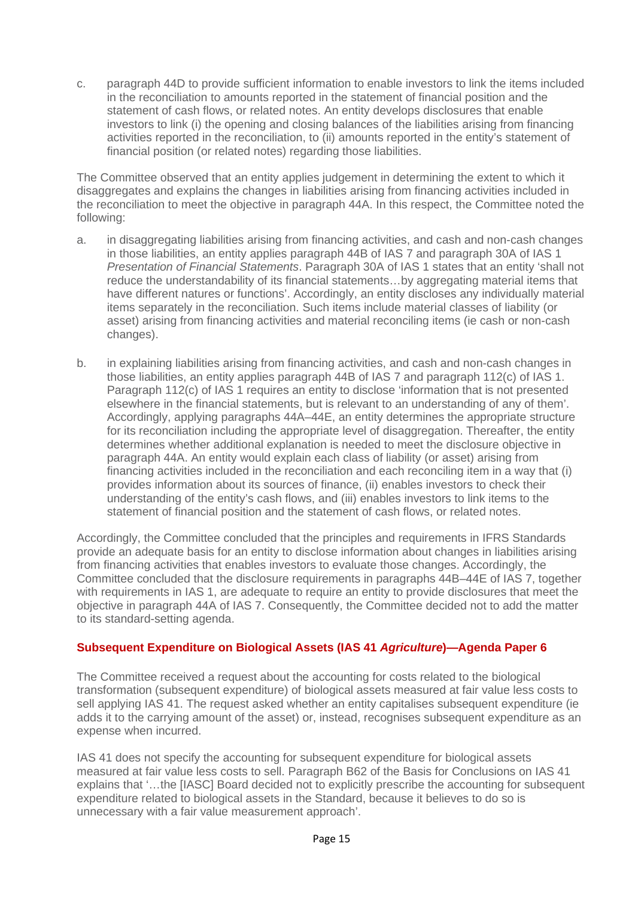c. paragraph 44D to provide sufficient information to enable investors to link the items included in the reconciliation to amounts reported in the statement of financial position and the statement of cash flows, or related notes. An entity develops disclosures that enable investors to link (i) the opening and closing balances of the liabilities arising from financing activities reported in the reconciliation, to (ii) amounts reported in the entity's statement of financial position (or related notes) regarding those liabilities.

The Committee observed that an entity applies judgement in determining the extent to which it disaggregates and explains the changes in liabilities arising from financing activities included in the reconciliation to meet the objective in paragraph 44A. In this respect, the Committee noted the following:

- a. in disaggregating liabilities arising from financing activities, and cash and non-cash changes in those liabilities, an entity applies paragraph 44B of IAS 7 and paragraph 30A of IAS 1 *Presentation of Financial Statements*. Paragraph 30A of IAS 1 states that an entity 'shall not reduce the understandability of its financial statements…by aggregating material items that have different natures or functions'. Accordingly, an entity discloses any individually material items separately in the reconciliation. Such items include material classes of liability (or asset) arising from financing activities and material reconciling items (ie cash or non-cash changes).
- b. in explaining liabilities arising from financing activities, and cash and non-cash changes in those liabilities, an entity applies paragraph 44B of IAS 7 and paragraph 112(c) of IAS 1. Paragraph 112(c) of IAS 1 requires an entity to disclose 'information that is not presented elsewhere in the financial statements, but is relevant to an understanding of any of them'. Accordingly, applying paragraphs 44A–44E, an entity determines the appropriate structure for its reconciliation including the appropriate level of disaggregation. Thereafter, the entity determines whether additional explanation is needed to meet the disclosure objective in paragraph 44A. An entity would explain each class of liability (or asset) arising from financing activities included in the reconciliation and each reconciling item in a way that (i) provides information about its sources of finance, (ii) enables investors to check their understanding of the entity's cash flows, and (iii) enables investors to link items to the statement of financial position and the statement of cash flows, or related notes.

Accordingly, the Committee concluded that the principles and requirements in IFRS Standards provide an adequate basis for an entity to disclose information about changes in liabilities arising from financing activities that enables investors to evaluate those changes. Accordingly, the Committee concluded that the disclosure requirements in paragraphs 44B–44E of IAS 7, together with requirements in IAS 1, are adequate to require an entity to provide disclosures that meet the objective in paragraph 44A of IAS 7. Consequently, the Committee decided not to add the matter to its standard-setting agenda.

#### <span id="page-14-0"></span>**Subsequent Expenditure on Biological Assets (IAS 41** *Agriculture***)—Agenda Paper 6**

The Committee received a request about the accounting for costs related to the biological transformation (subsequent expenditure) of biological assets measured at fair value less costs to sell applying IAS 41. The request asked whether an entity capitalises subsequent expenditure (ie adds it to the carrying amount of the asset) or, instead, recognises subsequent expenditure as an expense when incurred.

IAS 41 does not specify the accounting for subsequent expenditure for biological assets measured at fair value less costs to sell. Paragraph B62 of the Basis for Conclusions on IAS 41 explains that '…the [IASC] Board decided not to explicitly prescribe the accounting for subsequent expenditure related to biological assets in the Standard, because it believes to do so is unnecessary with a fair value measurement approach'.